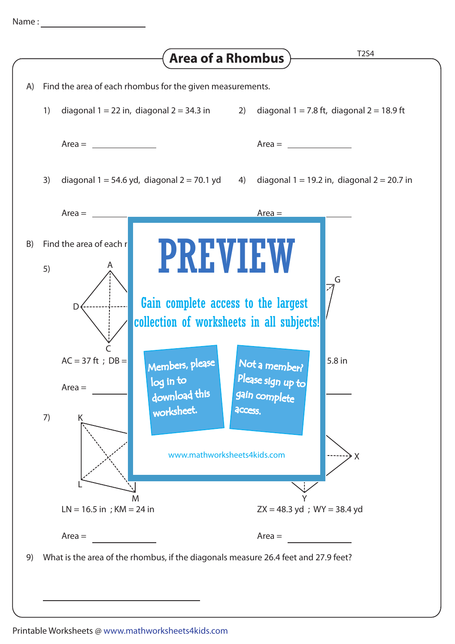